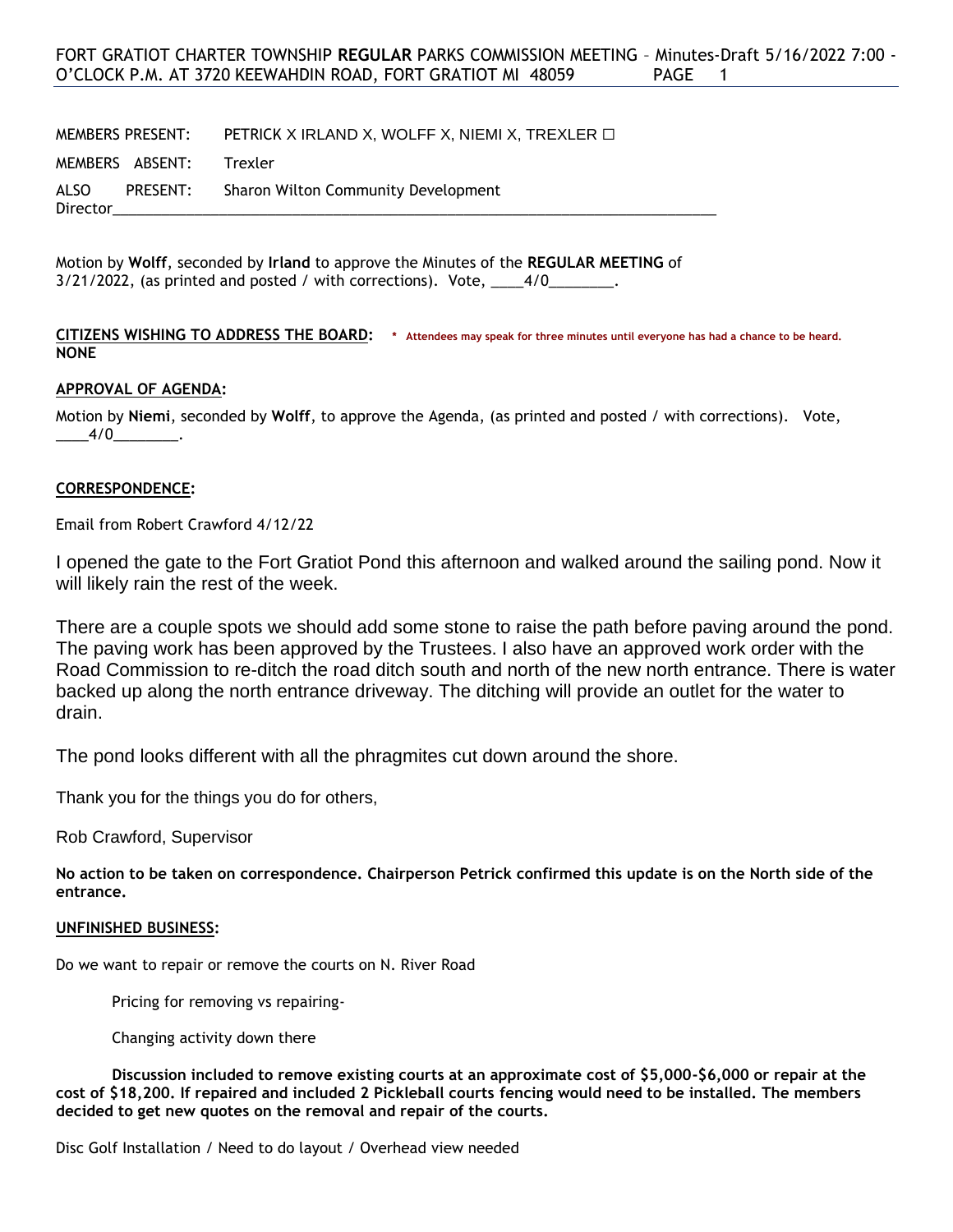MEMBERS PRESENT: PETRICK X IRLAND X, WOLFF X, NIEMI X, TREXLER  $\square$ 

MEMBERS ABSENT: Trexler

ALSO PRESENT: Sharon Wilton Community Development Director\_\_\_\_\_\_\_\_\_\_\_\_\_\_\_\_\_\_\_\_\_\_\_\_\_\_\_\_\_\_\_\_\_\_\_\_\_\_\_\_\_\_\_\_\_\_\_\_\_\_\_\_\_\_\_\_\_\_\_\_\_\_\_\_\_\_\_\_\_\_\_\_\_\_

Motion by **Wolff**, seconded by **Irland** to approve the Minutes of the **REGULAR MEETING** of  $3/21/2022$ , (as printed and posted / with corrections). Vote,  $1/4/0$ 

**CITIZENS WISHING TO ADDRESS THE BOARD: \* Attendees may speak for three minutes until everyone has had a chance to be heard. NONE**

# **APPROVAL OF AGENDA:**

Motion by **Niemi**, seconded by **Wolff**, to approve the Agenda, (as printed and posted / with corrections). Vote,  $-4/0$  .

# **CORRESPONDENCE:**

Email from Robert Crawford 4/12/22

I opened the gate to the Fort Gratiot Pond this afternoon and walked around the sailing pond. Now it will likely rain the rest of the week.

There are a couple spots we should add some stone to raise the path before paving around the pond. The paving work has been approved by the Trustees. I also have an approved work order with the Road Commission to re-ditch the road ditch south and north of the new north entrance. There is water backed up along the north entrance driveway. The ditching will provide an outlet for the water to drain.

The pond looks different with all the phragmites cut down around the shore.

Thank you for the things you do for others,

Rob Crawford, Supervisor

**No action to be taken on correspondence. Chairperson Petrick confirmed this update is on the North side of the entrance.**

### **UNFINISHED BUSINESS:**

Do we want to repair or remove the courts on N. River Road

Pricing for removing vs repairing-

Changing activity down there

**Discussion included to remove existing courts at an approximate cost of \$5,000-\$6,000 or repair at the cost of \$18,200. If repaired and included 2 Pickleball courts fencing would need to be installed. The members decided to get new quotes on the removal and repair of the courts.**

Disc Golf Installation / Need to do layout / Overhead view needed